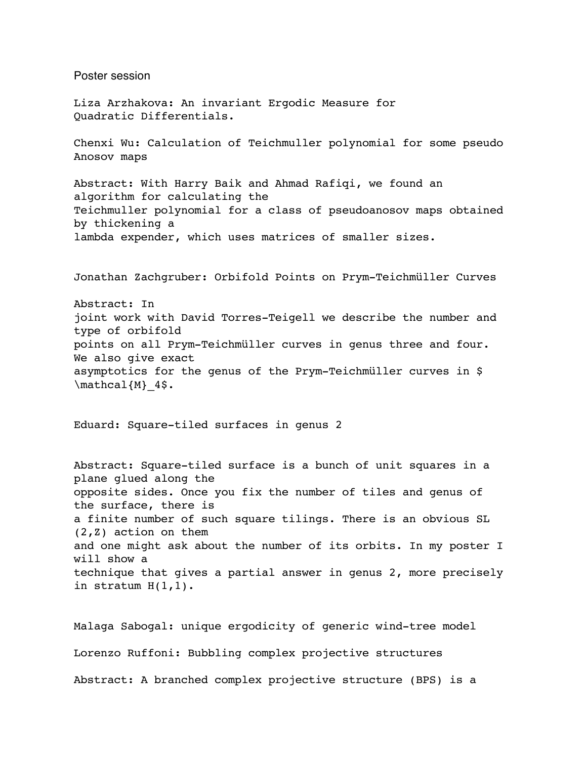Poster session Liza Arzhakova: An invariant Ergodic Measure for Quadratic Differentials. Chenxi Wu: Calculation of Teichmuller polynomial for some pseudo Anosov maps Abstract: With Harry Baik and Ahmad Rafiqi, we found an algorithm for calculating the Teichmuller polynomial for a class of pseudoanosov maps obtained by thickening a lambda expender, which uses matrices of smaller sizes. Jonathan Zachgruber: Orbifold Points on Prym-Teichmüller Curves Abstract: In joint work with David Torres-Teigell we describe the number and type of orbifold points on all Prym-Teichmüller curves in genus three and four. We also give exact asymptotics for the genus of the Prym-Teichmüller curves in \$ \mathcal{M} 4\$. Eduard: Square-tiled surfaces in genus 2 Abstract: Square-tiled surface is a bunch of unit squares in a plane glued along the opposite sides. Once you fix the number of tiles and genus of the surface, there is a finite number of such square tilings. There is an obvious SL (2,Z) action on them and one might ask about the number of its orbits. In my poster I will show a technique that gives a partial answer in genus 2, more precisely in stratum H(1,1). Malaga Sabogal: unique ergodicity of generic wind-tree model

Lorenzo Ruffoni: Bubbling complex projective structures

Abstract: A branched complex projective structure (BPS) is a